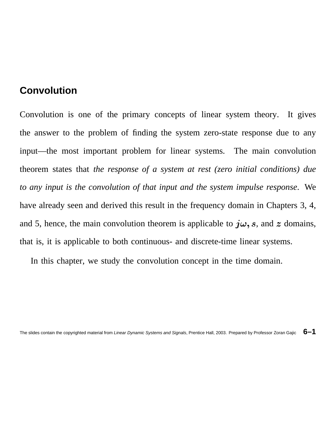### **Convolution**

Convolution is one of the primary concepts of linear system theory. It gives the answer to the problem of finding the system zero-state response due to any input—the most important problem for linear systems. The main convolution theorem states that *the response of a system at rest (zero initial conditions) due to any input is the convolution of that input and the system impulse response*. We have already seen and derived this result in the frequency domain in Chapters 3, 4, and 5, hence, the main convolution theorem is applicable to  $j\omega$ , s, and z domains, that is, it is applicable to both continuous- and discrete-time linear systems.

In this chapter, we study the convolution concept in the time domain.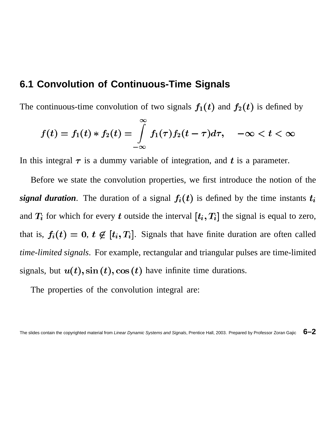# **6.1 Convolution of Continuous-Time Signals**

The continuous-time convolution of two signals  $f_1(t)$  and  $f_2(t)$  is defined by

$$
f(t)=f_1(t)\ast f_2(t)=\int\limits_{-\infty}^{\infty}f_1(\tau)f_2(t-\tau)d\tau,\quad -\infty
$$

In this integral  $\tau$  is a dummy variable of integration, and t is a parameter.

Before we state the convolution properties, we first introduce the notion of the *signal duration*. The duration of a signal  $f_i(t)$  is defined by the time instants  $t_i$ and  $T_i$  for which for every t outside the interval  $[t_i, T_i]$  the signal is equal to zero, that is,  $f_i(t) = 0$ ,  $t \notin [t_i, T_i]$ . Signals that have finite duration are often called *time-limited signals*. For example, rectangular and triangular pulses are time-limited signals, but  $u(t)$ , sin  $(t)$ , cos  $(t)$  have infinite time durations.

The properties of the convolution integral are: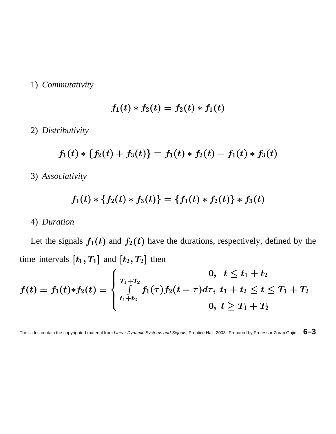#### 1) *Commutativity*

$$
f_1(t)\ast f_2(t) = f_2(t)\ast f_1(t)
$$

2) *Distributivity*

$$
f_1(t)*\{f_2(t)+f_3(t)\}=f_1(t)*f_2(t)+f_1(t)*f_3(t)
$$

3) *Associativity*

$$
f_1(t)*\{f_2(t)*f_3(t)\}=\{f_1(t)*f_2(t)\} * f_3(t)
$$

#### 4) *Duration*

Let the signals  $f_1(t)$  and  $f_2(t)$  have the durations, respectively, defined by the time intervals  $[t_1, T_1]$  and  $[t_2, T_2]$  then

$$
f(t)=f_1(t)*f_2(t)=\left\{\begin{array}{ll}0, \ \ t\leq t_1+t_2\\ \int\limits_{t_1+t_2}^{T_1+T_2}f_1(\tau)f_2(t-\tau)d\tau, \ t_1+t_2\leq t\leq T_1+T_2\\ 0, \ t\geq T_1+T_2\end{array}\right.
$$

The slides contain the copyrighted material from Linear Dynamic Systems and Signals, Prentice Hall, 2003. Prepared by Professor Zoran Gajic **6–3**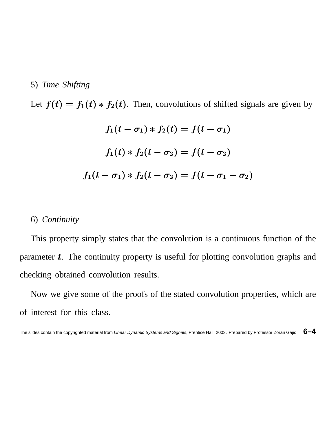### 5) *Time Shifting*

Let  $f(t) = f_1(t) * f_2(t)$ . Then, convolutions of shifted signals are given by

$$
f_1(t - \sigma_1) * f_2(t) = f(t - \sigma_1)
$$
  

$$
f_1(t) * f_2(t - \sigma_2) = f(t - \sigma_2)
$$
  

$$
f_1(t - \sigma_1) * f_2(t - \sigma_2) = f(t - \sigma_1 - \sigma_2)
$$

#### 6) *Continuity*

This property simply states that the convolution is a continuous function of the parameter  $t$ . The continuity property is useful for plotting convolution graphs and checking obtained convolution results.

Now we give some of the proofs of the stated convolution properties, which are of interest for this class.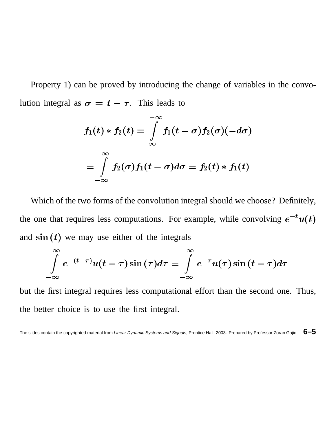Property 1) can be proved by introducing the change of variables in the convolution integral as  $\sigma = t - \tau$ . This leads to

$$
f_1(t) * f_2(t) = \int_{-\infty}^{-\infty} f_1(t - \sigma) f_2(\sigma) (-d\sigma)
$$
  
= 
$$
\int_{-\infty}^{\infty} f_2(\sigma) f_1(t - \sigma) d\sigma = f_2(t) * f_1(t)
$$

Which of the two forms of the convolution integral should we choose? Definitely, the one that requires less computations. For example, while convolving  $e^{-t}u(t)$ and  $\sin(t)$  we may use either of the integrals

$$
\int_{-\infty}^{\infty} e^{-(t-\tau)} u(t-\tau) \sin(\tau) d\tau = \int_{-\infty}^{\infty} e^{-\tau} u(\tau) \sin(t-\tau) d\tau
$$

but the first integral requires less computational effort than the second one. Thus, the better choice is to use the first integral.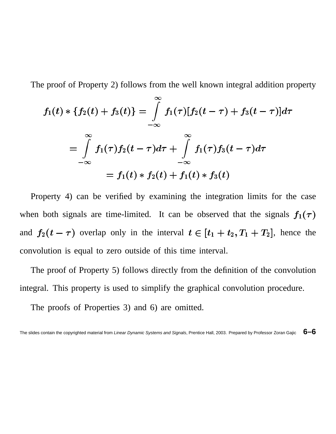The proof of Property 2) follows from the well known integral addition property

$$
f_1(t)*\{f_2(t)+f_3(t)\} = \int\limits_{-\infty}^{\infty} f_1(\tau)[f_2(t-\tau)+f_3(t-\tau)]d\tau
$$
  
\n
$$
= \int\limits_{-\infty}^{\infty} f_1(\tau)f_2(t-\tau)d\tau + \int\limits_{-\infty}^{\infty} f_1(\tau)f_3(t-\tau)d\tau
$$
  
\n
$$
= f_1(t)*f_2(t) + f_1(t)*f_3(t)
$$

Property 4) can be verified by examining the integration limits for the case when both signals are time-limited. It can be observed that the signals  $f_1(\tau)$ and  $f_2(t-\tau)$  overlap only in the interval  $t \in [t_1+t_2, T_1+T_2]$ , hence the convolution is equal to zero outside of this time interval.

The proof of Property 5) follows directly from the definition of the convolution integral. This property is used to simplify the graphical convolution procedure.

The proofs of Properties 3) and 6) are omitted.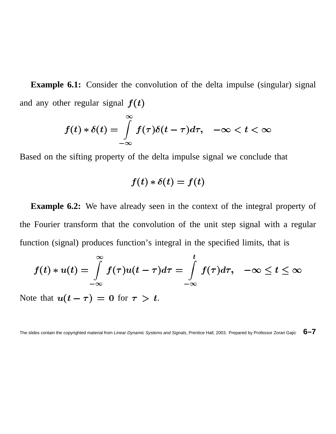**Example 6.1:** Consider the convolution of the delta impulse (singular) signal and any other regular signal  $f(t)$ 

$$
f(t) * \delta(t) = \int_{-\infty}^{\infty} f(\tau) \delta(t - \tau) d\tau, \quad -\infty < t < \infty
$$

Based on the sifting property of the delta impulse signal we conclude that

$$
f(t)*\delta(t) = f(t)
$$

**Example 6.2:** We have already seen in the context of the integral property of the Fourier transform that the convolution of the unit step signal with a regular function (signal) produces function's integral in the specified limits, that is

$$
f(t) * u(t) = \int\limits_{-\infty}^{\infty} f(\tau)u(t-\tau)d\tau = \int\limits_{-\infty}^{t} f(\tau)d\tau, \quad -\infty \leq t \leq \infty
$$

Note that  $u(t-\tau) = 0$  for  $\tau > t$ .

The slides contain the copyrighted material from Linear Dynamic Systems and Signals, Prentice Hall, 2003. Prepared by Professor Zoran Gajic **6–7**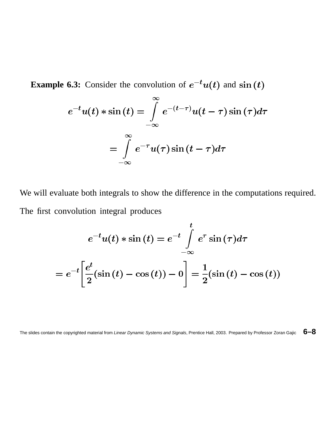**Example 6.3:** Consider the convolution of  $e^{-t}u(t)$  and  $\sin(t)$ 

$$
e^{-t}u(t) * \sin(t) = \int_{-\infty}^{\infty} e^{-(t-\tau)}u(t-\tau)\sin(\tau)d\tau
$$

$$
= \int_{-\infty}^{\infty} e^{-\tau}u(\tau)\sin(t-\tau)d\tau
$$

We will evaluate both integrals to show the difference in the computations required. The first convolution integral produces

$$
e^{-t}u(t) * \sin(t) = e^{-t} \int_{-\infty}^{t} e^{\tau} \sin(\tau)d\tau
$$

$$
= e^{-t} \left[ \frac{e^{t}}{2} (\sin(t) - \cos(t)) - 0 \right] = \frac{1}{2} (\sin(t) - \cos(t))
$$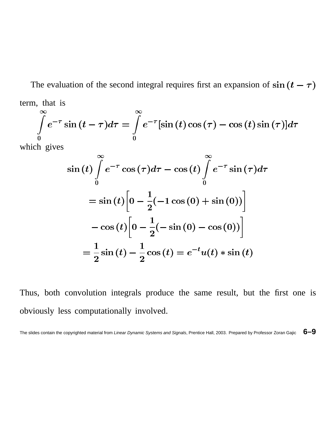The evaluation of the second integral requires first an expansion of  $\sin(t-\tau)$ term, that is

$$
\int_{0}^{\infty} e^{-\tau} \sin(t-\tau) d\tau = \int_{0}^{\infty} e^{-\tau} [\sin(t) \cos(\tau) - \cos(t) \sin(\tau)] d\tau
$$

which gives

$$
\sin(t)\int_{0}^{\infty}e^{-\tau}\cos(\tau)d\tau - \cos(t)\int_{0}^{\infty}e^{-\tau}\sin(\tau)d\tau
$$

$$
= \sin(t)\left[0 - \frac{1}{2}(-1\cos(0) + \sin(0))\right]
$$

$$
-\cos(t)\left[0 - \frac{1}{2}(-\sin(0) - \cos(0))\right]
$$

$$
= \frac{1}{2}\sin(t) - \frac{1}{2}\cos(t) = e^{-t}u(t)\sin(t)
$$

Thus, both convolution integrals produce the same result, but the first one is obviously less computationally involved.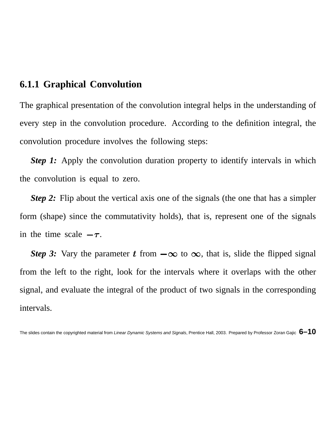# **6.1.1 Graphical Convolution**

The graphical presentation of the convolution integral helps in the understanding of every step in the convolution procedure. According to the definition integral, the convolution procedure involves the following steps:

**Step 1:** Apply the convolution duration property to identify intervals in which the convolution is equal to zero.

*Step* 2: Flip about the vertical axis one of the signals (the one that has a simpler form (shape) since the commutativity holds), that is, represent one of the signals in the time scale  $-\tau$ .

*Step* 3: Vary the parameter t from  $-\infty$  to  $\infty$ , that is, slide the flipped signal from the left to the right, look for the intervals where it overlaps with the other signal, and evaluate the integral of the product of two signals in the corresponding intervals.

The slides contain the copyrighted material from Linear Dynamic Systems and Signals, Prentice Hall, 2003. Prepared by Professor Zoran Gajic **6–10**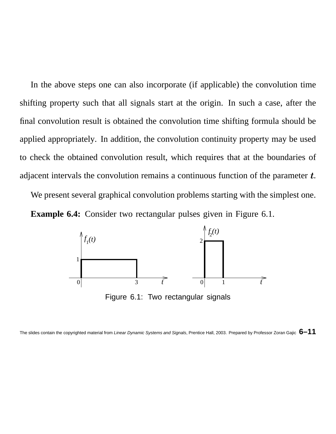In the above steps one can also incorporate (if applicable) the convolution time shifting property such that all signals start at the origin. In such a case, after the final convolution result is obtained the convolution time shifting formula should be applied appropriately. In addition, the convolution continuity property may be used to check the obtained convolution result, which requires that at the boundaries of adjacent intervals the convolution remains a continuous function of the parameter  $t$ .

We present several graphical convolution problems starting with the simplest one. **Example 6.4:** Consider two rectangular pulses given in Figure 6.1.

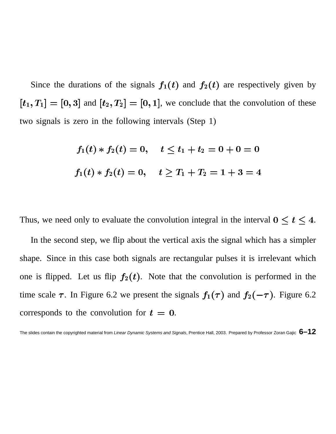Since the durations of the signals  $f_1(t)$  and  $f_2(t)$  are respectively given by  $[t_1, T_1] = [0, 3]$  and  $[t_2, T_2] = [0, 1]$ , we conclude that the convolution of these two signals is zero in the following intervals (Step 1)

$$
f_1(t) * f_2(t) = 0, \quad t \le t_1 + t_2 = 0 + 0 = 0
$$
  

$$
f_1(t) * f_2(t) = 0, \quad t \ge T_1 + T_2 = 1 + 3 = 4
$$

Thus, we need only to evaluate the convolution integral in the interval  $0 \le t \le 4$ .

In the second step, we flip about the vertical axis the signal which has a simpler shape. Since in this case both signals are rectangular pulses it is irrelevant which one is flipped. Let us flip  $f_2(t)$ . Note that the convolution is performed in the time scale  $\tau$ . In Figure 6.2 we present the signals  $f_1(\tau)$  and  $f_2(-\tau)$ . Figure 6.2 corresponds to the convolution for  $t = 0$ .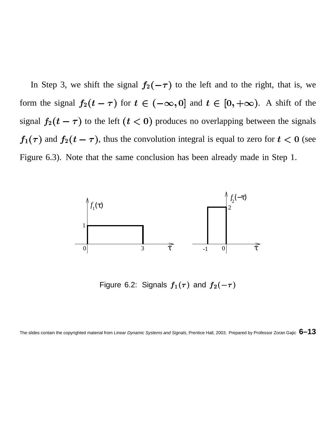In Step 3, we shift the signal  $f_2(-\tau)$  to the left and to the right, that is, we form the signal  $f_2(t-\tau)$  for  $t \in (-\infty, 0]$  and  $t \in [0, +\infty)$ . A shift of the signal  $f_2(t - \tau)$  to the left  $(t < 0)$  produces no overlapping between the signals  $_1(\tau)$  and  $f_2(t-\tau)$ , thus the convolution integral is equal to zero for  $t < 0$  (see Figure 6.3). Note that the same conclusion has been already made in Step 1.



Figure 6.2: Signals  $f_1(\tau)$  and  $f_2(-\tau)$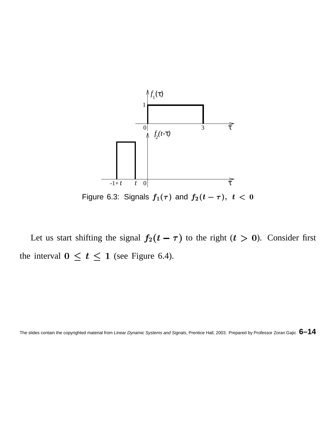

Let us start shifting the signal  $f_2(t - \tau)$  to the right  $(t > 0)$ . Consider first the interval  $0 \le t \le 1$  (see Figure 6.4).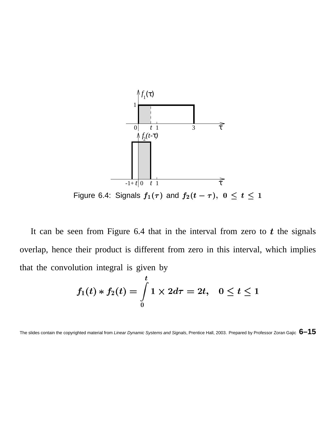

It can be seen from Figure 6.4 that in the interval from zero to  $t$  the signals overlap, hence their product is different from zero in this interval, which implies that the convolution integral is given by

$$
f_1(t)*f_2(t)=\int\limits_0^t1\times 2d\tau=2t,\ \ \, 0\leq t\leq 1
$$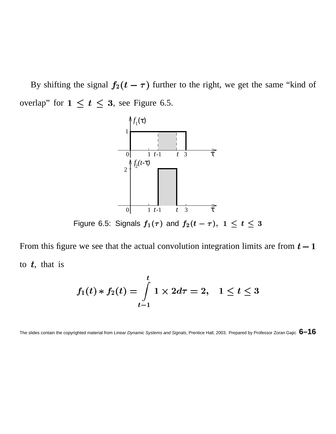By shifting the signal  $f_2(t - \tau)$  further to the right, we get the same "kind of overlap" for  $1 \le t \le 3$ , see Figure 6.5.



From this figure we see that the actual convolution integration limits are from  $t - 1$ to  $t$ , that is

$$
f_1(t)\ast f_2(t)=\int\limits_{t-1}^t1\times 2d\tau=2,\ \ \, 1\leq t\leq 3
$$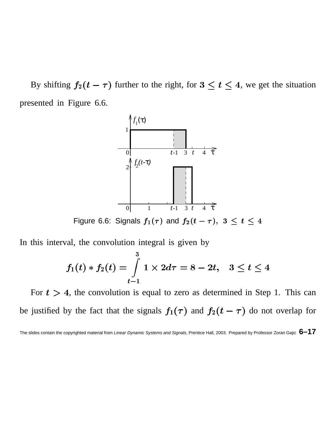By shifting  $f_2(t-\tau)$  further to the right, for  $3 \le t \le 4$ , we get the situation presented in Figure 6.6.



Figure 6.6: Signals  $f_1(\tau)$  and  $f_2(t-\tau),\;3\leq t\leq 4$ 

In this interval, the convolution integral is given by

$$
f_1(t)*f_2(t) = \int\limits_{t-1}^3 1 \times 2d\tau = 8 - 2t, \ \ \, 3 \leq t \leq 4
$$

For  $t > 4$ , the convolution is equal to zero as determined in Step 1. This can be justified by the fact that the signals  $f_1(\tau)$  and  $f_2(t-\tau)$  do not overlap for

The slides contain the copyrighted material from Linear Dynamic Systems and Signals, Prentice Hall, 2003. Prepared by Professor Zoran Gajic **6–17**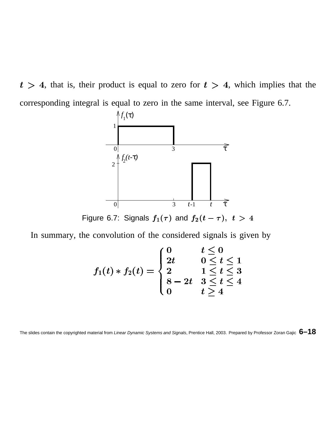$t > 4$ , that is, their product is equal to zero for  $t > 4$ , which implies that the corresponding integral is equal to zero in the same interval, see Figure 6.7.



In summary, the convolution of the considered signals is given by

$$
f_1(t)*f_2(t) = \begin{cases} 0 & t \leq 0 \\ 2t & 0 \leq t \leq 1 \\ 2 & 1 \leq t \leq 3 \\ 8-2t & 3 \leq t \leq 4 \\ 0 & t > 4 \end{cases}
$$

The slides contain the copyrighted material from Linear Dynamic Systems and Signals, Prentice Hall, 2003. Prepared by Professor Zoran Gajic **6–18**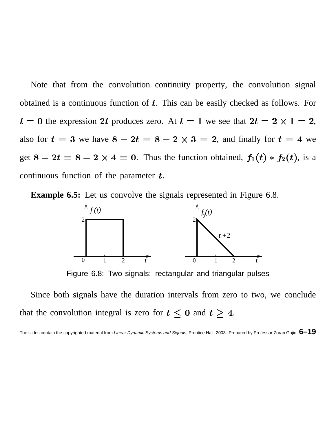Note that from the convolution continuity property, the convolution signal obtained is a continuous function of  $t$ . This can be easily checked as follows. For  $t=0$  the expression 2t produces zero. At  $t=1$  we see that  $2t=2\times 1=2$ , also for  $t = 3$  we have  $8 - 2t = 8 - 2 \times 3 = 2$ , and finally for  $t = 4$  we get  $8 - 2t = 8 - 2 \times 4 = 0$ . Thus the function obtained,  $f_1(t) * f_2(t)$ , is a continuous function of the parameter  $t$ .

**Example 6.5:** Let us convolve the signals represented in Figure 6.8.



Figure 6.8: Two signals: rectangular and triangular pulses

Since both signals have the duration intervals from zero to two, we conclude that the convolution integral is zero for  $t \leq 0$  and  $t \geq 4$ .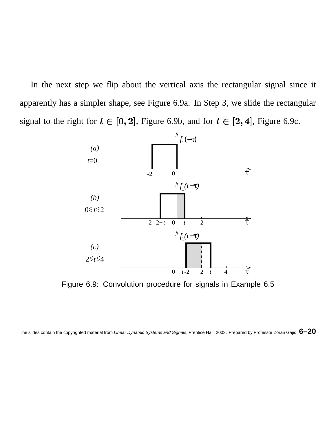In the next step we flip about the vertical axis the rectangular signal since it apparently has a simpler shape, see Figure 6.9a. In Step 3, we slide the rectangular signal to the right for  $t \in [0, 2]$ , Figure 6.9b, and for  $t \in [2, 4]$ , Figure 6.9c.



Figure 6.9: Convolution procedure for signals in Example 6.5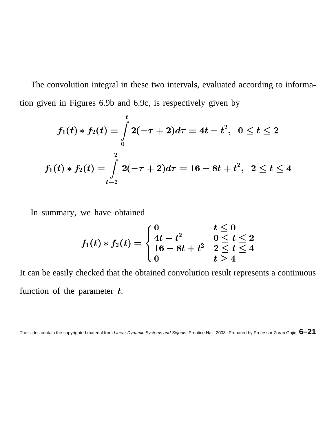The convolution integral in these two intervals, evaluated according to information given in Figures 6.9b and 6.9c, is respectively given by

$$
f_1(t)*f_2(t) = \int\limits_0^t 2(-\tau+2)d\tau = 4t - t^2, \ \ 0 \leq t \leq 2
$$
  

$$
f_1(t)*f_2(t) = \int\limits_{t-2}^2 2(-\tau+2)d\tau = 16 - 8t + t^2, \ \ 2 \leq t \leq 4
$$

In summary, we have obtained

$$
f_1(t)*f_2(t)=\left\{\begin{aligned} &0 & t \leq 0 \\ &4t-t^2 & 0 \leq t \leq 2 \\ &16-8t+t^2 & 2 \leq t \leq 4 \\ &0 & t \geq 4 \end{aligned}\right.
$$

It can be easily checked that the obtained convolution result represents a continuous function of the parameter  $t$ .

The slides contain the copyrighted material from Linear Dynamic Systems and Signals, Prentice Hall, 2003. Prepared by Professor Zoran Gajic **6–21**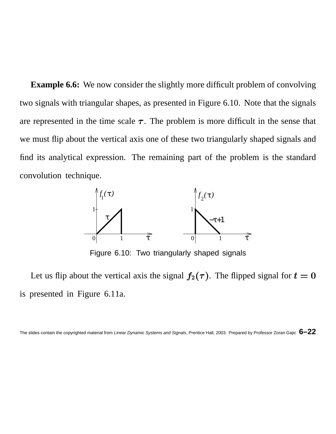**Example 6.6:** We now consider the slightly more difficult problem of convolving two signals with triangular shapes, as presented in Figure 6.10. Note that the signals are represented in the time scale  $\tau$ . The problem is more difficult in the sense that we must flip about the vertical axis one of these two triangularly shaped signals and find its analytical expression. The remaining part of the problem is the standard convolution technique.



Figure 6.10: Two triangularly shaped signals

Let us flip about the vertical axis the signal  $f_2(\tau)$ . The flipped signal for  $t = 0$ is presented in Figure 6.11a.

The slides contain the copyrighted material from Linear Dynamic Systems and Signals, Prentice Hall, 2003. Prepared by Professor Zoran Gajic **6–22**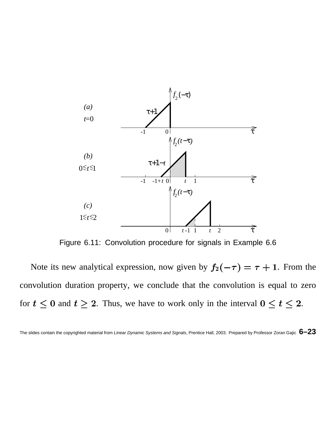

Figure 6.11: Convolution procedure for signals in Example 6.6

Note its new analytical expression, now given by  $f_2(-\tau) = \tau + 1$ . From the convolution duration property, we conclude that the convolution is equal to zero for  $t \leq 0$  and  $t \geq 2$ . Thus, we have to work only in the interval  $0 \leq t \leq 2$ .

The slides contain the copyrighted material from Linear Dynamic Systems and Signals, Prentice Hall, 2003. Prepared by Professor Zoran Gajic **6–23**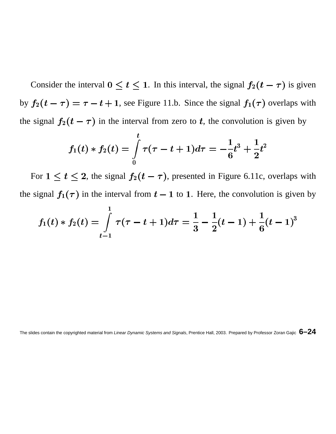Consider the interval  $0 \le t \le 1$ . In this interval, the signal  $f_2(t - \tau)$  is given by  $f_2(t - \tau) = \tau - t + 1$ , see Figure 11.b. Since the signal  $f_1(\tau)$  overlaps with the signal  $f_2(t - \tau)$  in the interval from zero to t, the convolution is given by

$$
f_1(t)*f_2(t)=\int\limits_0^t \tau(\tau-t+1)d\tau=-\frac{1}{6}t^3+\frac{1}{2}t^2
$$

a contract of the contract of the contract of the contract of the contract of the contract of the contract of

For  $1 \le t \le 2$ , the signal  $f_2(t - \tau)$ , presented in Figure 6.11c, overlaps with the signal  $f_1(\tau)$  in the interval from  $t-1$  to 1. Here, the convolution is given by

$$
f_1(t)*f_2(t)=\int\limits_{t-1}^1 \tau(\tau-t+1)d\tau=\frac{1}{3}-\frac{1}{2}(t-1)+\frac{1}{6}(t-1)^3
$$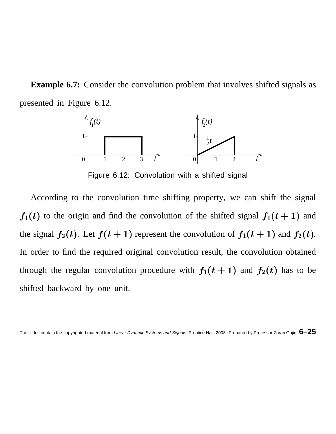**Example 6.7:** Consider the convolution problem that involves shifted signals as presented in Figure 6.12.



Figure 6.12: Convolution with a shifted signal

According to the convolution time shifting property, we can shift the signal  $f_1(t)$  to the origin and find the convolution of the shifted signal  $f_1(t+1)$  and the signal  $f_2(t)$ . Let  $f(t+1)$  represent the convolution of  $f_1(t+1)$  and  $f_2(t)$ . In order to find the required original convolution result, the convolution obtained through the regular convolution procedure with  $f_1(t+1)$  and  $f_2(t)$  has to be shifted backward by one unit.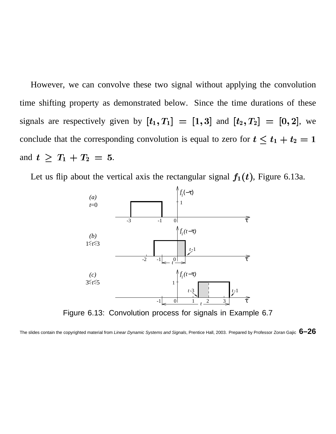However, we can convolve these two signal without applying the convolution time shifting property as demonstrated below. Since the time durations of these signals are respectively given by  $[t_1, T_1] = [1,3]$  and  $[t_2, T_2] = [0,2]$ , we conclude that the corresponding convolution is equal to zero for  $t \leq t_1 + t_2 = 1$ and  $t \geq T_1 + T_2 = 5$ .

Let us flip about the vertical axis the rectangular signal  $f_1(t)$ , Figure 6.13a.



Figure 6.13: Convolution process for signals in Example 6.7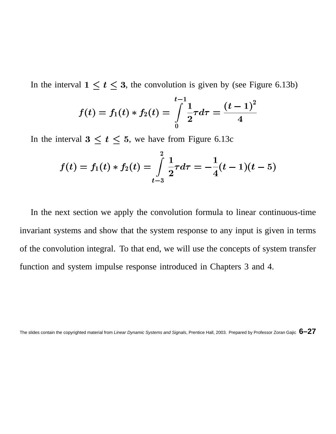In the interval  $1 \le t \le 3$ , the convolution is given by (see Figure 6.13b)

$$
f(t)=f_1(t)*f_2(t)=\int\limits_0^{t-1}\frac{1}{2}\tau d\tau=\frac{(t-1)^2}{4}
$$

In the interval  $3 \le t \le 5$ , we have from Figure 6.13c

$$
f(t) = f_1(t) * f_2(t) = \int_{t-3}^{2} \frac{1}{2} \tau d\tau = -\frac{1}{4} (t-1)(t-5)
$$

<sup>¼</sup>

In the next section we apply the convolution formula to linear continuous-time invariant systems and show that the system response to any input is given in terms of the convolution integral. To that end, we will use the concepts of system transfer function and system impulse response introduced in Chapters 3 and 4.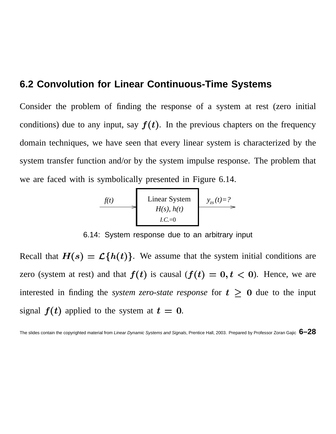### **6.2 Convolution for Linear Continuous-Time Systems**

Consider the problem of finding the response of a system at rest (zero initial conditions) due to any input, say  $f(t)$ . In the previous chapters on the frequency domain techniques, we have seen that every linear system is characterized by the system transfer function and/or by the system impulse response. The problem that we are faced with is symbolically presented in Figure 6.14.



6.14: System response due to an arbitrary input

Recall that  $H(s) = \mathcal{L}{h(t)}$ . We assume that the system initial conditions are zero (system at rest) and that  $f(t)$  is causal  $(f(t) = 0, t < 0)$ . Hence, we are interested in finding the *system zero-state response* for  $t \geq 0$  due to the input signal  $f(t)$  applied to the system at  $t = 0$ .

The slides contain the copyrighted material from Linear Dynamic Systems and Signals, Prentice Hall, 2003. Prepared by Professor Zoran Gajic **6–28**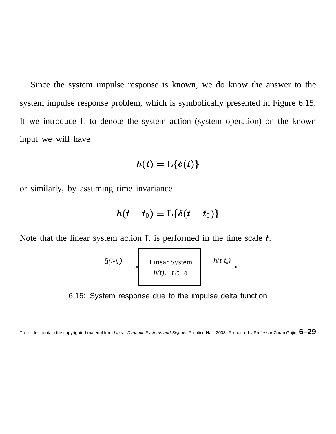Since the system impulse response is known, we do know the answer to the system impulse response problem, which is symbolically presented in Figure 6.15. If we introduce  $L$  to denote the system action (system operation) on the known input we will have

$$
h(t) = \text{L}\{\delta(t)\}
$$

or similarly, by assuming time invariance

$$
h(t-t_0) = \text{L}\{\delta(t-t_0)\}
$$

Note that the linear system action  $\bf{L}$  is performed in the time scale  $\bf{t}$ .

$$
\begin{array}{c}\n\delta(t-t_0) \longrightarrow \text{Linear System} \\
h(t), \quad L.C.=0\n\end{array}
$$

6.15: System response due to the impulse delta function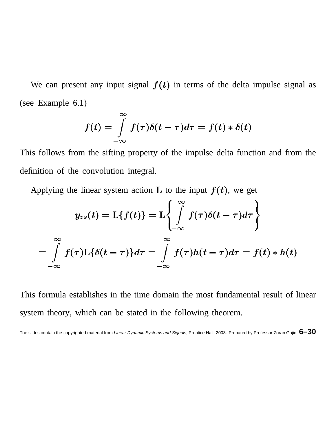We can present any input signal  $f(t)$  in terms of the delta impulse signal as (see Example  $6.1$ )

$$
f(t) = \int_{-\infty}^{\infty} f(\tau) \delta(t - \tau) d\tau = f(t) * \delta(t)
$$

This follows from the sifting property of the impulse delta function and from the definition of the convolution integral.

Applying the linear system action L to the input  $f(t)$ , we get

$$
y_{zs}(t) = \mathcal{L}{f(t)} = \mathcal{L}\left\{\int\limits_{-\infty}^{\infty} f(\tau)\delta(t-\tau)d\tau\right\}
$$

$$
= \int\limits_{-\infty}^{\infty} f(\tau)\mathcal{L}{\{\delta(t-\tau)\}d\tau} = \int\limits_{-\infty}^{\infty} f(\tau)h(t-\tau)d\tau = f(t) * h(t)
$$

This formula establishes in the time domain the most fundamental result of linear system theory, which can be stated in the following theorem.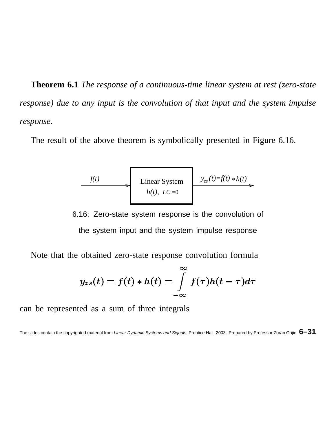**Theorem 6.1** *The response of a continuous-time linear system at rest (zero-state response) due to any input is the convolution of that input and the system impulse response*.

The result of the above theorem is symbolically presented in Figure 6.16.

| $f(t)$         | Linear System           | $y_{zs}(t)=f(t) * h(t)$ |
|----------------|-------------------------|-------------------------|
| $h(t), L.C.=0$ | $y_{zs}(t)=f(t) * h(t)$ |                         |

6.16: Zero-state system response is the convolution of the system input and the system impulse response

Note that the obtained zero-state response convolution formula

$$
y_{zs}(t) = f(t) * h(t) = \int_{-\infty}^{\infty} f(\tau)h(t-\tau)d\tau
$$

can be represented as a sum of three integrals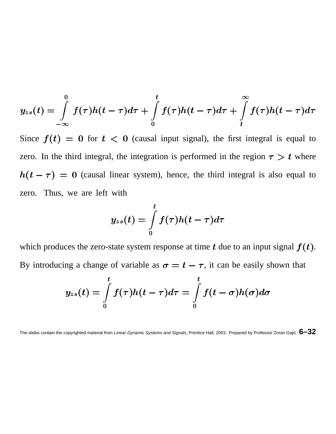$$
y_{zs}(t) = \int\limits_{-\infty}^{0} f(\tau)h(t-\tau)d\tau + \int\limits_{0}^{t} f(\tau)h(t-\tau)d\tau + \int\limits_{t}^{\infty} f(\tau)h(t-\tau)d\tau
$$

Since  $f(t) = 0$  for  $t < 0$  (causal input signal), the first integral is equal to zero. In the third integral, the integration is performed in the region  $\tau > t$  where  $h(t-\tau) = 0$  (causal linear system), hence, the third integral is also equal to zero. Thus, we are left with

$$
y_{zs}(t)=\int\limits_0^t f(\tau)h(t-\tau)d\tau
$$

which produces the zero-state system response at time  $t$  due to an input signal  $f(t)$ . By introducing a change of variable as  $\sigma = t - \tau$ , it can be easily shown that

$$
y_{zs}(t)=\int\limits_0^t f(\tau)h(t-\tau)d\tau=\int\limits_0^t f(t-\sigma)h(\sigma)d\sigma
$$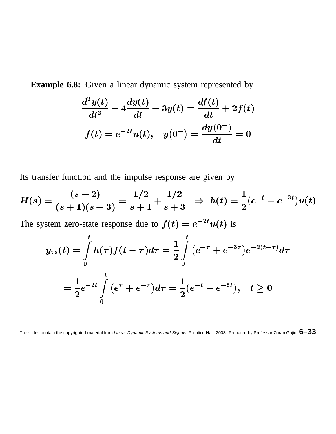**Example 6.8:** Given a linear dynamic system represented by

$$
\frac{d^2y(t)}{dt^2} + 4\frac{dy(t)}{dt} + 3y(t) = \frac{df(t)}{dt} + 2f(t)
$$

$$
f(t) = e^{-2t}u(t), \quad y(0^-) = \frac{dy(0^-)}{dt} = 0
$$

Its transfer function and the impulse response are given by

$$
H(s) = \frac{(s+2)}{(s+1)(s+3)} = \frac{1/2}{s+1} + \frac{1/2}{s+3} \Rightarrow h(t) = \frac{1}{2}(e^{-t} + e^{-3t})u(t)
$$

The system zero-state response due to  $f(t) = e^{-2t}u(t)$  is

$$
y_{zs}(t) = \int_{0}^{t} h(\tau)f(t-\tau)d\tau = \frac{1}{2}\int_{0}^{t} (e^{-\tau} + e^{-3\tau})e^{-2(t-\tau)}d\tau
$$

$$
= \frac{1}{2}e^{-2t}\int_{0}^{t} (e^{\tau} + e^{-\tau})d\tau = \frac{1}{2}(e^{-t} - e^{-3t}), \quad t \ge 0
$$